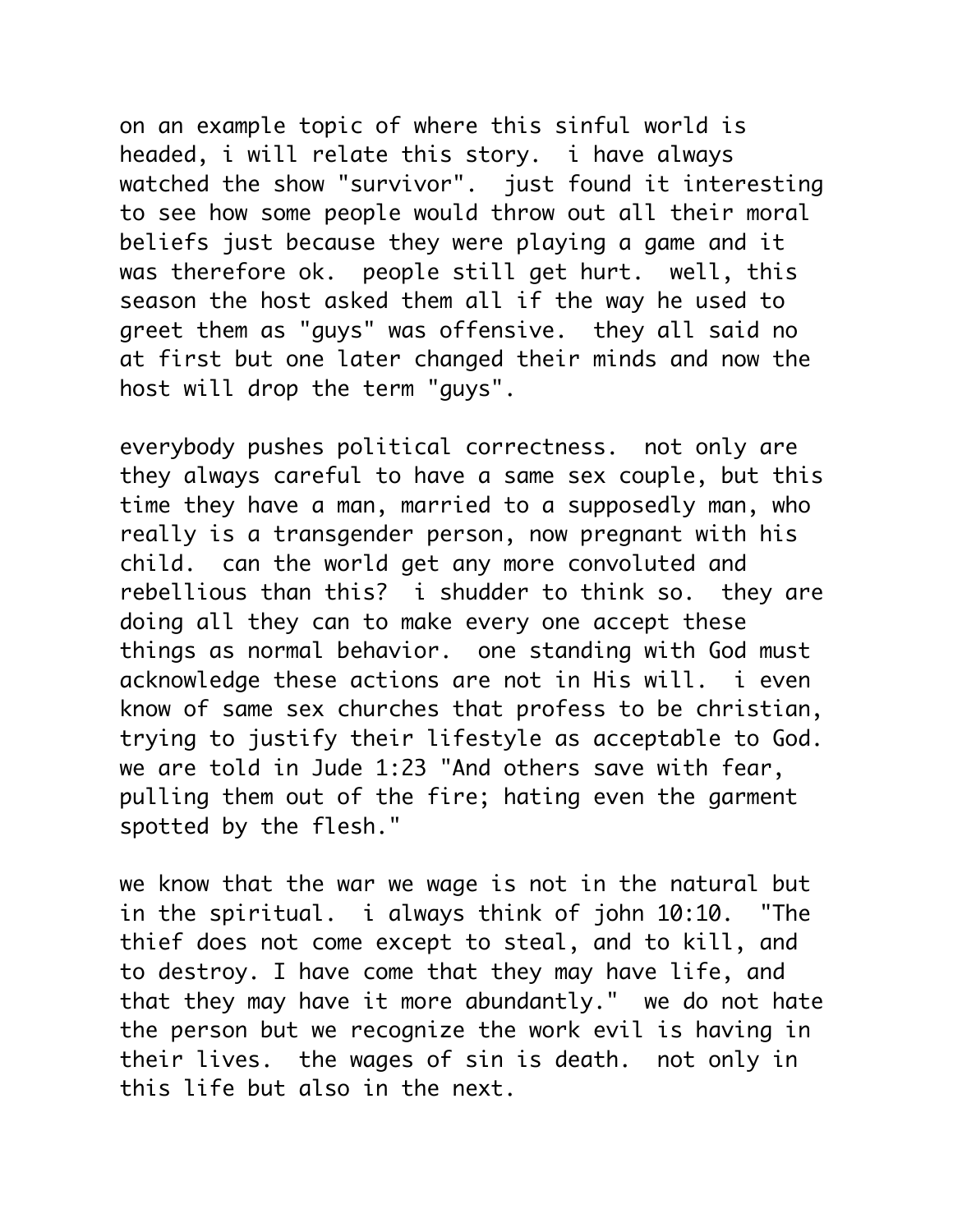on an example topic of where this sinful world is headed, i will relate this story. i have always watched the show "survivor". just found it interesting to see how some people would throw out all their moral beliefs just because they were playing a game and it was therefore ok. people still get hurt. well, this season the host asked them all if the way he used to greet them as "guys" was offensive. they all said no at first but one later changed their minds and now the host will drop the term "guys".

everybody pushes political correctness. not only are they always careful to have a same sex couple, but this time they have a man, married to a supposedly man, who really is a transgender person, now pregnant with his child. can the world get any more convoluted and rebellious than this? i shudder to think so. they are doing all they can to make every one accept these things as normal behavior. one standing with God must acknowledge these actions are not in His will. i even know of same sex churches that profess to be christian, trying to justify their lifestyle as acceptable to God. we are told in Jude 1:23 "And others save with fear, pulling them out of the fire; hating even the garment spotted by the flesh."

we know that the war we wage is not in the natural but in the spiritual. i always think of john 10:10. "The thief does not come except to steal, and to kill, and to destroy. I have come that they may have life, and that they may have it more abundantly." we do not hate the person but we recognize the work evil is having in their lives. the wages of sin is death. not only in this life but also in the next.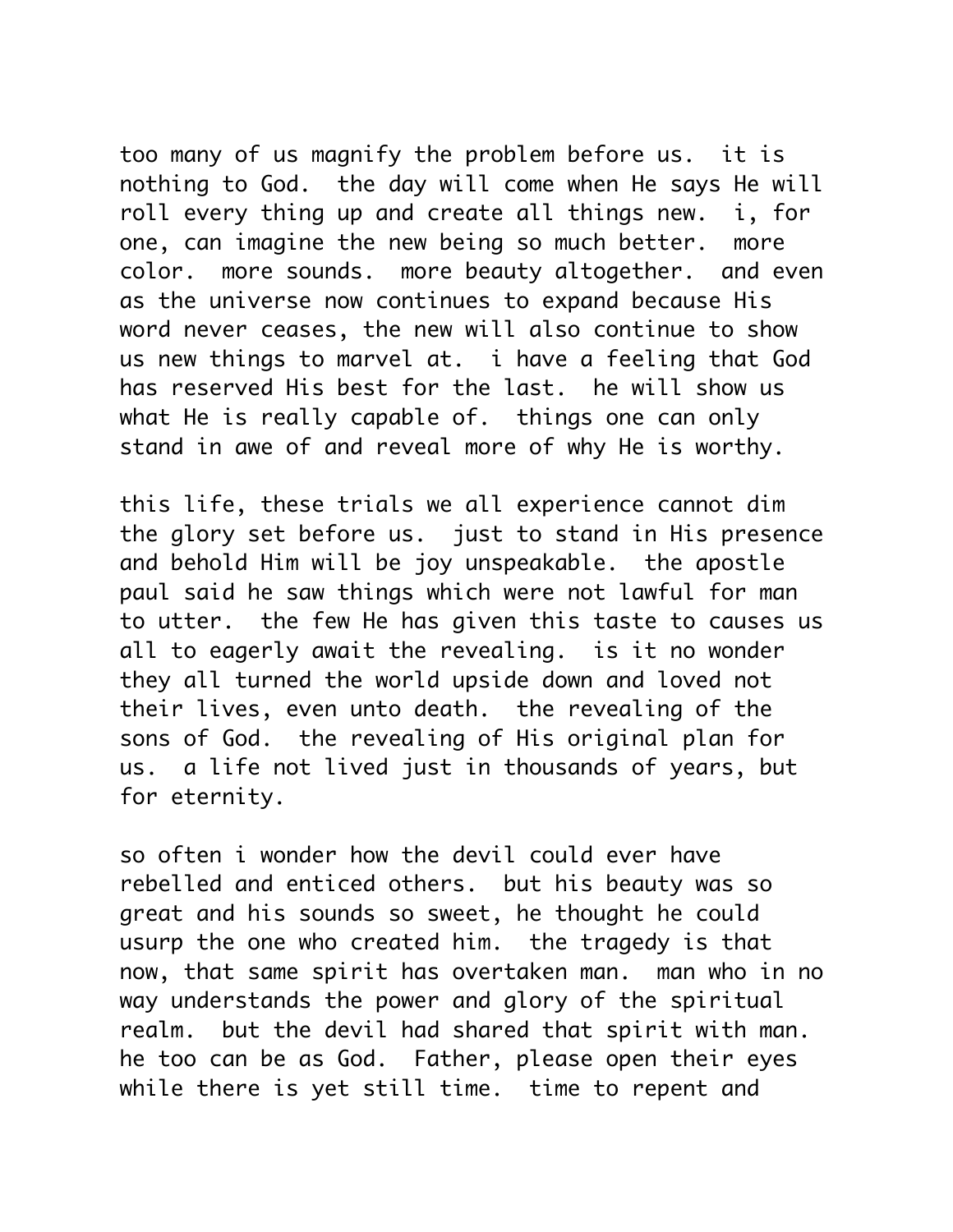too many of us magnify the problem before us. it is nothing to God. the day will come when He says He will roll every thing up and create all things new. i, for one, can imagine the new being so much better. more color. more sounds. more beauty altogether. and even as the universe now continues to expand because His word never ceases, the new will also continue to show us new things to marvel at. i have a feeling that God has reserved His best for the last. he will show us what He is really capable of. things one can only stand in awe of and reveal more of why He is worthy.

this life, these trials we all experience cannot dim the glory set before us. just to stand in His presence and behold Him will be joy unspeakable. the apostle paul said he saw things which were not lawful for man to utter. the few He has given this taste to causes us all to eagerly await the revealing. is it no wonder they all turned the world upside down and loved not their lives, even unto death. the revealing of the sons of God. the revealing of His original plan for us. a life not lived just in thousands of years, but for eternity.

so often i wonder how the devil could ever have rebelled and enticed others. but his beauty was so great and his sounds so sweet, he thought he could usurp the one who created him. the tragedy is that now, that same spirit has overtaken man. man who in no way understands the power and glory of the spiritual realm. but the devil had shared that spirit with man. he too can be as God. Father, please open their eyes while there is yet still time. time to repent and